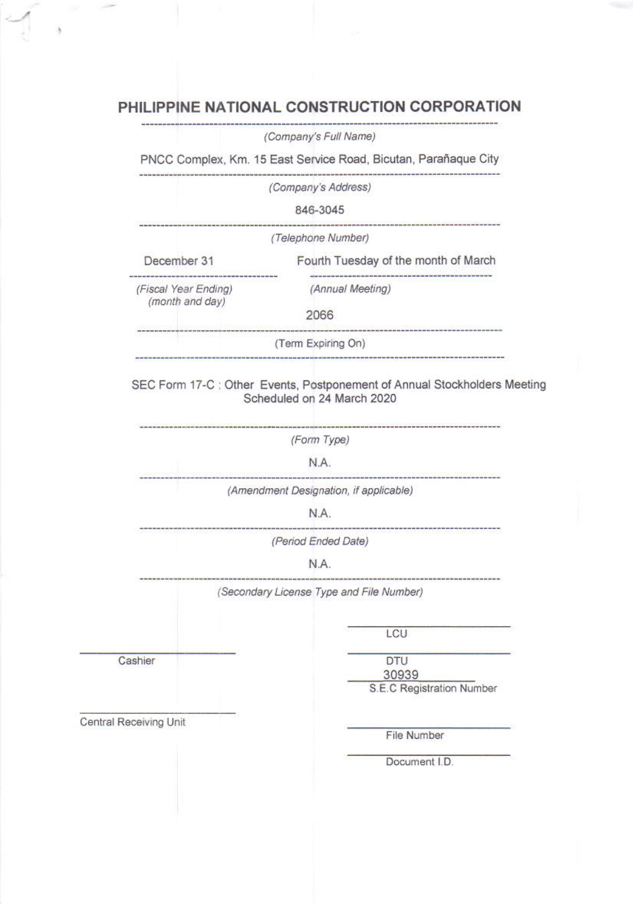# PHILIPPINE NATIONAL CONSTRUCTION CORPORATION

 $\lambda$ 

|                        |                 | (Company's Full Name)                                                                                   |  |  |
|------------------------|-----------------|---------------------------------------------------------------------------------------------------------|--|--|
|                        |                 | PNCC Complex, Km. 15 East Service Road, Bicutan, Parañaque City                                         |  |  |
|                        |                 | (Company's Address)                                                                                     |  |  |
|                        |                 | 846-3045                                                                                                |  |  |
|                        |                 | ---------------------------------<br>(Telephone Number)                                                 |  |  |
| December 31            |                 | Fourth Tuesday of the month of March                                                                    |  |  |
| (Fiscal Year Ending)   | (month and day) | (Annual Meeting)                                                                                        |  |  |
|                        |                 | 2066                                                                                                    |  |  |
|                        |                 | ------------------------------------<br>(Term Expiring On)                                              |  |  |
|                        |                 |                                                                                                         |  |  |
|                        |                 | SEC Form 17-C : Other Events, Postponement of Annual Stockholders Meeting<br>Scheduled on 24 March 2020 |  |  |
|                        |                 | (Form Type)                                                                                             |  |  |
|                        | N.A.            |                                                                                                         |  |  |
|                        |                 |                                                                                                         |  |  |
|                        |                 | (Amendment Designation, if applicable)                                                                  |  |  |
|                        |                 | N.A.                                                                                                    |  |  |
|                        |                 | (Period Ended Date)                                                                                     |  |  |
|                        |                 | N.A.                                                                                                    |  |  |
|                        |                 | (Secondary License Type and File Number)                                                                |  |  |
|                        |                 | LCU                                                                                                     |  |  |
| Cashier                |                 | <b>DTU</b>                                                                                              |  |  |
|                        |                 | 30939<br>S.E.C Registration Number                                                                      |  |  |
| Central Receiving Unit |                 |                                                                                                         |  |  |
|                        |                 | File Number<br>Document I.D.                                                                            |  |  |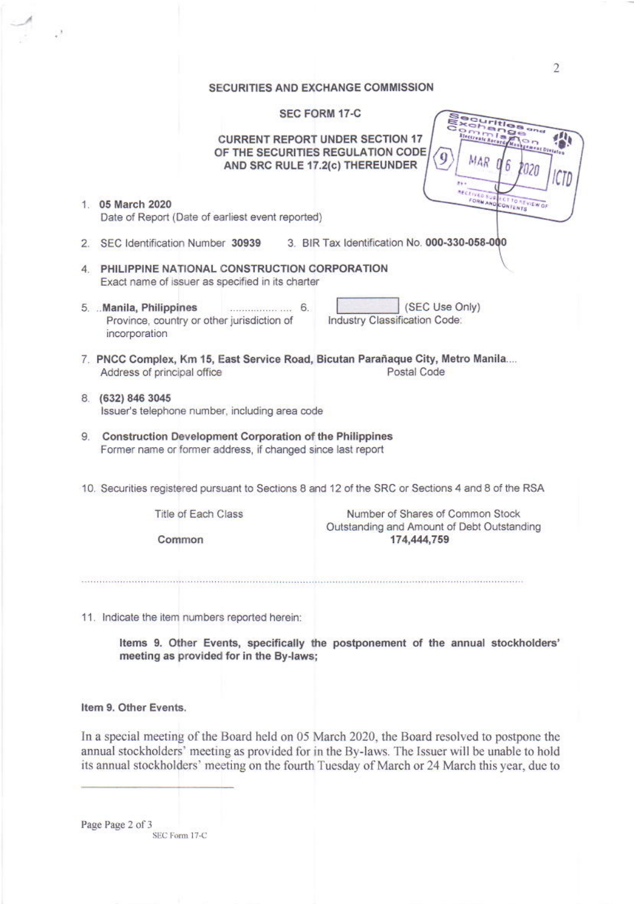# SECUPITIES AND EXCHANGE COMMISSION

|   | <b>SEGURI HES AND EAGRANGE COMMIS</b>                                                                                                  |                                                                                               |  |  |  |
|---|----------------------------------------------------------------------------------------------------------------------------------------|-----------------------------------------------------------------------------------------------|--|--|--|
|   | <b>SEC FORM 17-C</b><br><b>CURRENT REPORT UNDER SECTION 17</b><br>OF THE SECURITIES REGULATION CODE<br>AND SRC RULE 17.2(c) THEREUNDER | <b>Final</b><br><b>Ge</b><br>1133<br>etrante Rocardy<br>MAR                                   |  |  |  |
|   | 1. 05 March 2020<br>Date of Report (Date of earliest event reported)                                                                   | <b>RECEIVED SUP</b><br>FORM AND CONTENTS<br>CT TO NEVIEW OF                                   |  |  |  |
|   | 2. SEC Identification Number 30939                                                                                                     | 3. BIR Tax Identification No. 000-330-058-000                                                 |  |  |  |
| 4 | PHILIPPINE NATIONAL CONSTRUCTION CORPORATION<br>Exact name of issuer as specified in its charter                                       |                                                                                               |  |  |  |
|   | 5. Manila, Philippines<br>Province, country or other jurisdiction of<br>incorporation                                                  | (SEC Use Only)<br>Industry Classification Code:                                               |  |  |  |
|   | 7. PNCC Complex, Km 15, East Service Road, Bicutan Parañaque City, Metro Manila<br>Address of principal office                         | Postal Code                                                                                   |  |  |  |
|   | 8. (632) 846 3045<br>Issuer's telephone number, including area code                                                                    |                                                                                               |  |  |  |
|   | 9. Construction Development Corporation of the Philippines<br>Former name or former address, if changed since last report              |                                                                                               |  |  |  |
|   | 10. Securities registered pursuant to Sections 8 and 12 of the SRC or Sections 4 and 8 of the RSA                                      |                                                                                               |  |  |  |
|   | Title of Each Class<br>Common                                                                                                          | Number of Shares of Common Stock<br>Outstanding and Amount of Debt Outstanding<br>174,444,759 |  |  |  |
|   |                                                                                                                                        |                                                                                               |  |  |  |

11. Indicate the item numbers reported herein:

Items 9. Other Events, specifically the postponement of the annual stockholders' meeting as provided for in the By-laws;

## Item 9. Other Events.

 $\epsilon^2$ 

In a special meeting of the Board held on 05 March 2020, the Board resolved to postpone the annual stockholders' meeting as provided for in the By-laws. The Issuer will be unable to hold its annual stockholders' meeting on the fourth Tuesday of March or 24 March this year, due to

Page Page 2 of 3 SEC Form 17-C  $\overline{2}$